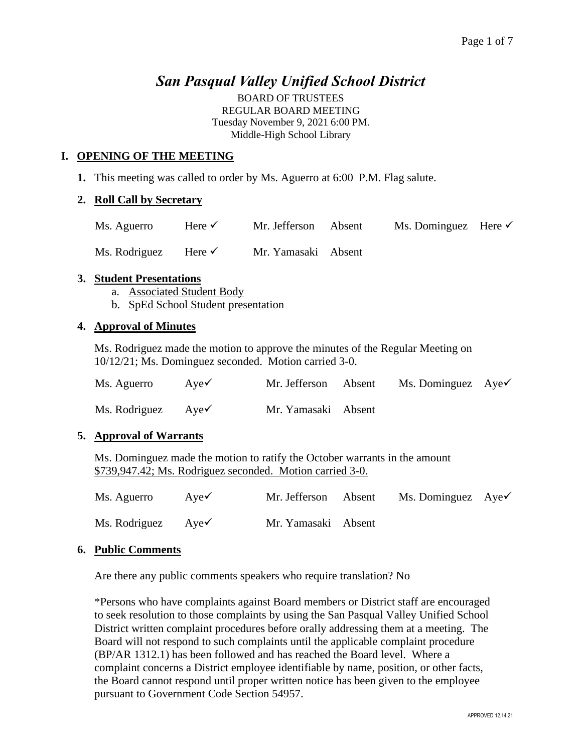# *San Pasqual Valley Unified School District*

BOARD OF TRUSTEES REGULAR BOARD MEETING Tuesday November 9, 2021 6:00 PM. Middle-High School Library

## **I. OPENING OF THE MEETING**

**1.** This meeting was called to order by Ms. Aguerro at 6:00 P.M. Flag salute.

### **2. Roll Call by Secretary**

| Ms. Aguerro   | Here $\checkmark$ | Mr. Jefferson Absent | Ms. Dominguez Here $\checkmark$ |  |
|---------------|-------------------|----------------------|---------------------------------|--|
| Ms. Rodriguez | Here $\checkmark$ | Mr. Yamasaki Absent  |                                 |  |

#### **3. Student Presentations**

- a. Associated Student Body
- b. SpEd School Student presentation

#### **4. Approval of Minutes**

Ms. Rodriguez made the motion to approve the minutes of the Regular Meeting on 10/12/21; Ms. Dominguez seconded. Motion carried 3-0.

| Ms. Aguerro                   | Aye $\checkmark$ | Mr. Jefferson Absent | Ms. Dominguez $Aye\checkmark$ |  |
|-------------------------------|------------------|----------------------|-------------------------------|--|
| Ms. Rodriguez $Aye\checkmark$ |                  | Mr. Yamasaki Absent  |                               |  |

#### **5. Approval of Warrants**

Ms. Dominguez made the motion to ratify the October warrants in the amount \$739,947.42; Ms. Rodriguez seconded. Motion carried 3-0.

| Ms. Aguerro                   | Aye $\checkmark$ | Mr. Jefferson Absent | Ms. Dominguez $Aye\checkmark$ |  |
|-------------------------------|------------------|----------------------|-------------------------------|--|
| Ms. Rodriguez $Aye\checkmark$ |                  | Mr. Yamasaki Absent  |                               |  |

### **6. Public Comments**

Are there any public comments speakers who require translation? No

\*Persons who have complaints against Board members or District staff are encouraged to seek resolution to those complaints by using the San Pasqual Valley Unified School District written complaint procedures before orally addressing them at a meeting. The Board will not respond to such complaints until the applicable complaint procedure (BP/AR 1312.1) has been followed and has reached the Board level. Where a complaint concerns a District employee identifiable by name, position, or other facts, the Board cannot respond until proper written notice has been given to the employee pursuant to Government Code Section 54957.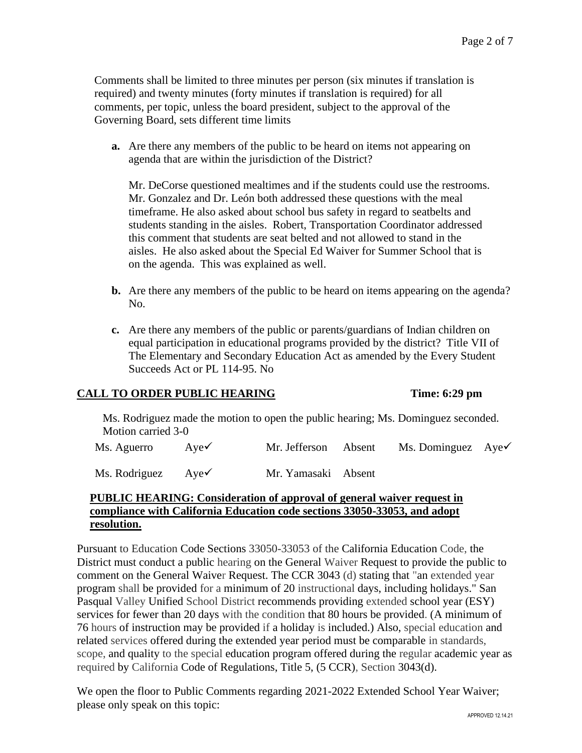Comments shall be limited to three minutes per person (six minutes if translation is required) and twenty minutes (forty minutes if translation is required) for all comments, per topic, unless the board president, subject to the approval of the Governing Board, sets different time limits

**a.** Are there any members of the public to be heard on items not appearing on agenda that are within the jurisdiction of the District?

Mr. DeCorse questioned mealtimes and if the students could use the restrooms. Mr. Gonzalez and Dr. León both addressed these questions with the meal timeframe. He also asked about school bus safety in regard to seatbelts and students standing in the aisles. Robert, Transportation Coordinator addressed this comment that students are seat belted and not allowed to stand in the aisles. He also asked about the Special Ed Waiver for Summer School that is on the agenda. This was explained as well.

- **b.** Are there any members of the public to be heard on items appearing on the agenda? No.
- **c.** Are there any members of the public or parents/guardians of Indian children on equal participation in educational programs provided by the district? Title VII of The Elementary and Secondary Education Act as amended by the Every Student Succeeds Act or PL 114-95. No

# **CALL TO ORDER PUBLIC HEARING Time: 6:29 pm**

Ms. Rodriguez made the motion to open the public hearing; Ms. Dominguez seconded. Motion carried 3-0

Ms. Aguerro Aye✓ Mr. Jefferson Absent Ms. Dominguez Aye✓

Ms. Rodriguez Aye✓ Mr. Yamasaki Absent

# **PUBLIC HEARING: Consideration of approval of general waiver request in compliance with California Education code sections 33050-33053, and adopt resolution.**

Pursuant to Education Code Sections 33050-33053 of the California Education Code, the District must conduct a public hearing on the General Waiver Request to provide the public to comment on the General Waiver Request. The CCR 3043 (d) stating that "an extended year program shall be provided for a minimum of 20 instructional days, including holidays." San Pasqual Valley Unified School District recommends providing extended school year (ESY) services for fewer than 20 days with the condition that 80 hours be provided. (A minimum of 76 hours of instruction may be provided if a holiday is included.) Also, special education and related services offered during the extended year period must be comparable in standards, scope, and quality to the special education program offered during the regular academic year as required by California Code of Regulations, Title 5, (5 CCR), Section 3043(d).

We open the floor to Public Comments regarding 2021-2022 Extended School Year Waiver; please only speak on this topic: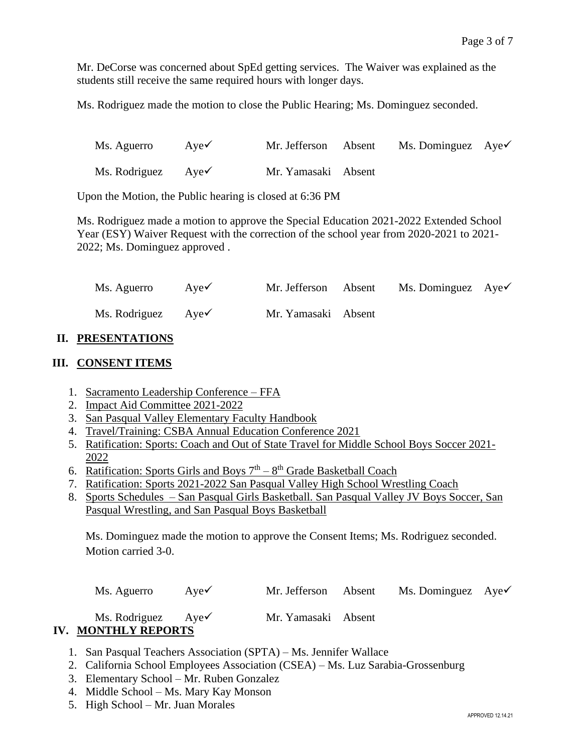Mr. DeCorse was concerned about SpEd getting services. The Waiver was explained as the students still receive the same required hours with longer days.

Ms. Rodriguez made the motion to close the Public Hearing; Ms. Dominguez seconded.

| Ms. Aguerro                   | $Aye\checkmark$ | Mr. Jefferson Absent | Ms. Dominguez $Aye\checkmark$ |  |
|-------------------------------|-----------------|----------------------|-------------------------------|--|
| Ms. Rodriguez $Aye\checkmark$ |                 | Mr. Yamasaki Absent  |                               |  |

Upon the Motion, the Public hearing is closed at 6:36 PM

Ms. Rodriguez made a motion to approve the Special Education 2021-2022 Extended School Year (ESY) Waiver Request with the correction of the school year from 2020-2021 to 2021- 2022; Ms. Dominguez approved .

| Ms. Aguerro                   | Aye $\checkmark$ | Mr. Jefferson Absent | Ms. Dominguez $Aye\checkmark$ |  |
|-------------------------------|------------------|----------------------|-------------------------------|--|
| Ms. Rodriguez $Aye\checkmark$ |                  | Mr. Yamasaki Absent  |                               |  |

### **II. PRESENTATIONS**

#### **III. CONSENT ITEMS**

- 1. Sacramento Leadership Conference FFA
- 2. Impact Aid Committee 2021-2022
- 3. San Pasqual Valley Elementary Faculty Handbook
- 4. Travel/Training: CSBA Annual Education Conference 2021
- 5. Ratification: Sports: Coach and Out of State Travel for Middle School Boys Soccer 2021- 2022
- 6. Ratification: Sports Girls and Boys  $7<sup>th</sup> 8<sup>th</sup>$  Grade Basketball Coach
- 7. Ratification: Sports 2021-2022 San Pasqual Valley High School Wrestling Coach
- 8. Sports Schedules San Pasqual Girls Basketball. San Pasqual Valley JV Boys Soccer, San Pasqual Wrestling, and San Pasqual Boys Basketball

Ms. Dominguez made the motion to approve the Consent Items; Ms. Rodriguez seconded. Motion carried 3-0.

| Ms. Aguerro                   | Aye $\checkmark$ | Mr. Jefferson       | Absent | Ms. Dominguez $Aye\checkmark$ |  |
|-------------------------------|------------------|---------------------|--------|-------------------------------|--|
| Ms. Rodriguez $Aye\checkmark$ |                  | Mr. Yamasaki Absent |        |                               |  |
| <b>IV. MONTHLY REPORTS</b>    |                  |                     |        |                               |  |

- 1. San Pasqual Teachers Association (SPTA) Ms. Jennifer Wallace
- 2. California School Employees Association (CSEA) Ms. Luz Sarabia-Grossenburg
- 3. Elementary School Mr. Ruben Gonzalez
- 4. Middle School Ms. Mary Kay Monson
- 5. High School Mr. Juan Morales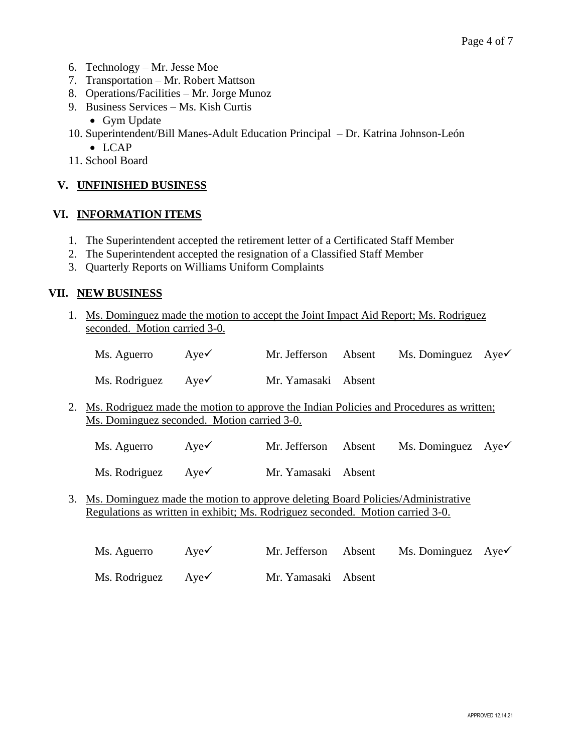- 6. Technology Mr. Jesse Moe
- 7. Transportation Mr. Robert Mattson
- 8. Operations/Facilities Mr. Jorge Munoz
- 9. Business Services Ms. Kish Curtis
	- Gym Update
- 10. Superintendent/Bill Manes-Adult Education Principal Dr. Katrina Johnson-León
	- LCAP
- 11. School Board

# **V. UNFINISHED BUSINESS**

# **VI. INFORMATION ITEMS**

- 1. The Superintendent accepted the retirement letter of a Certificated Staff Member
- 2. The Superintendent accepted the resignation of a Classified Staff Member
- 3. Quarterly Reports on Williams Uniform Complaints

# **VII. NEW BUSINESS**

1. Ms. Dominguez made the motion to accept the Joint Impact Aid Report; Ms. Rodriguez seconded. Motion carried 3-0.

| Ms. Aguerro $Aye\checkmark$ |  | Mr. Jefferson Absent Ms. Dominguez $Aye\checkmark$ |  |
|-----------------------------|--|----------------------------------------------------|--|
|                             |  |                                                    |  |

Ms. Rodriguez Aye✓ Mr. Yamasaki Absent

2. Ms. Rodriguez made the motion to approve the Indian Policies and Procedures as written; Ms. Dominguez seconded. Motion carried 3-0.

Ms. Aguerro Aye Mr. Jefferson Absent Ms. Dominguez Aye

Ms. Rodriguez Aye✓ Mr. Yamasaki Absent

3. Ms. Dominguez made the motion to approve deleting Board Policies/Administrative Regulations as written in exhibit; Ms. Rodriguez seconded. Motion carried 3-0.

| Ms. Aguerro                   | Aye $\checkmark$ | Mr. Jefferson Absent | Ms. Dominguez $Aye\checkmark$ |  |
|-------------------------------|------------------|----------------------|-------------------------------|--|
| Ms. Rodriguez $Aye\checkmark$ |                  | Mr. Yamasaki Absent  |                               |  |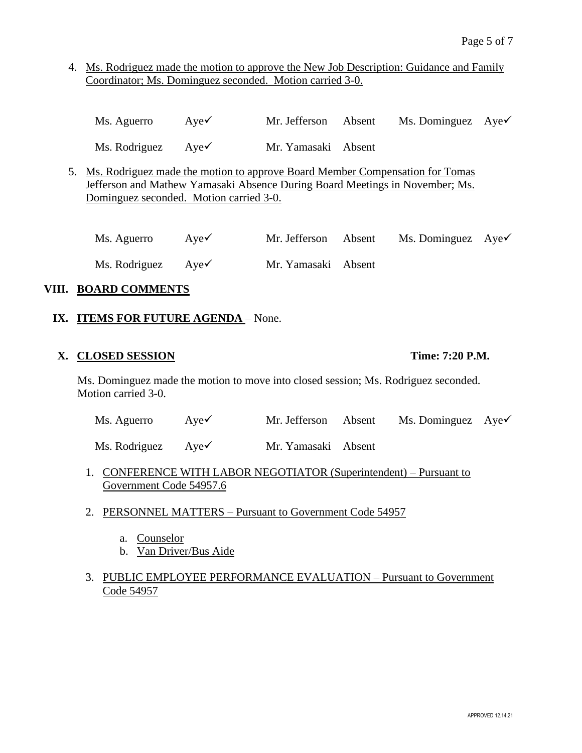4. Ms. Rodriguez made the motion to approve the New Job Description: Guidance and Family Coordinator; Ms. Dominguez seconded. Motion carried 3-0.

| Ms. Aguerro | Aye $\checkmark$ | Mr. Jefferson Absent |  | Ms. Dominguez $Aye\checkmark$ |  |
|-------------|------------------|----------------------|--|-------------------------------|--|
|-------------|------------------|----------------------|--|-------------------------------|--|

Ms. Rodriguez Aye✓ Mr. Yamasaki Absent

5. Ms. Rodriguez made the motion to approve Board Member Compensation for Tomas Jefferson and Mathew Yamasaki Absence During Board Meetings in November; Ms. Dominguez seconded. Motion carried 3-0.

Ms. Aguerro Aye Mr. Jefferson Absent Ms. Dominguez Aye Ms. Rodriguez Aye✓ Mr. Yamasaki Absent

# **VIII. BOARD COMMENTS**

# **IX. ITEMS FOR FUTURE AGENDA** – None.

#### **X. CLOSED SESSION Time: 7:20 P.M.**

Ms. Dominguez made the motion to move into closed session; Ms. Rodriguez seconded. Motion carried 3-0.

| Ms. Aguerro | AveV | Mr. Jefferson Absent |  | Ms. Dominguez $Aye\checkmark$ |  |
|-------------|------|----------------------|--|-------------------------------|--|
|-------------|------|----------------------|--|-------------------------------|--|

Ms. Rodriguez Aye✓ Mr. Yamasaki Absent

- 1. CONFERENCE WITH LABOR NEGOTIATOR (Superintendent) Pursuant to Government Code 54957.6
- 2. PERSONNEL MATTERS Pursuant to Government Code 54957
	- a. Counselor
	- b. Van Driver/Bus Aide

# 3. PUBLIC EMPLOYEE PERFORMANCE EVALUATION – Pursuant to Government Code 54957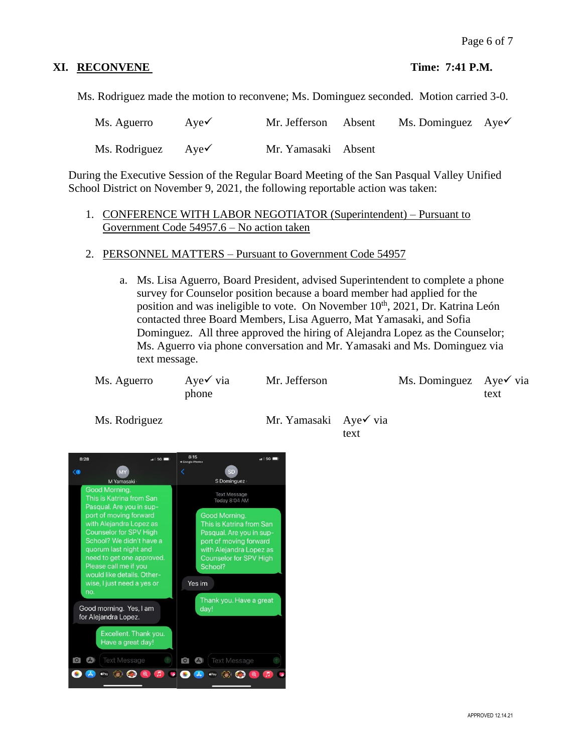# **XI. RECONVENE** Time: 7:41 **P.M.**

Ms. Rodriguez made the motion to reconvene; Ms. Dominguez seconded. Motion carried 3-0.

| Ms. Aguerro                   | Aye $\checkmark$ | Mr. Jefferson Absent | Ms. Dominguez $Aye\checkmark$ |  |
|-------------------------------|------------------|----------------------|-------------------------------|--|
| Ms. Rodriguez $Aye\checkmark$ |                  | Mr. Yamasaki Absent  |                               |  |

During the Executive Session of the Regular Board Meeting of the San Pasqual Valley Unified School District on November 9, 2021, the following reportable action was taken:

## 1. CONFERENCE WITH LABOR NEGOTIATOR (Superintendent) – Pursuant to Government Code 54957.6 – No action taken

- 2. PERSONNEL MATTERS Pursuant to Government Code 54957
	- a. Ms. Lisa Aguerro, Board President, advised Superintendent to complete a phone survey for Counselor position because a board member had applied for the position and was ineligible to vote. On November 10<sup>th</sup>, 2021, Dr. Katrina León contacted three Board Members, Lisa Aguerro, Mat Yamasaki, and Sofia Dominguez. All three approved the hiring of Alejandra Lopez as the Counselor; Ms. Aguerro via phone conversation and Mr. Yamasaki and Ms. Dominguez via text message.

| Ms. Aguerro | Aye $\checkmark$ via | Mr. Jefferson | Ms. Dominguez Aye $\checkmark$ via |      |
|-------------|----------------------|---------------|------------------------------------|------|
|             | phone                |               |                                    | text |

Ms. Rodriguez Mr. Yamasaki Aye√ via text